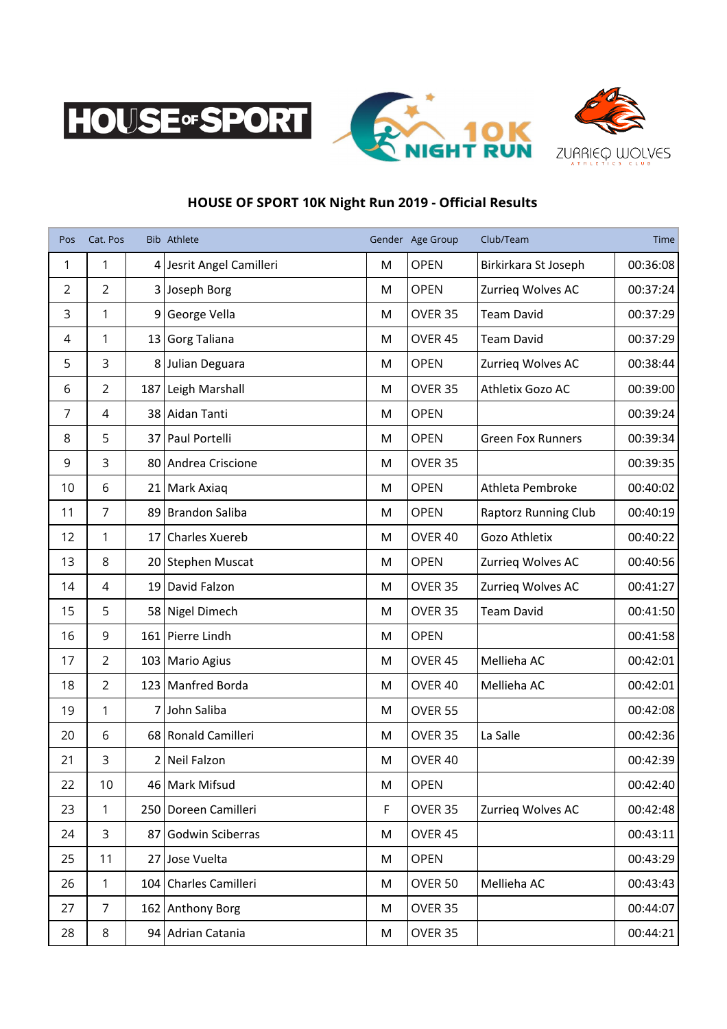





## **HOUSE OF SPORT 10K Night Run 2019 - Official Results**

| Pos            | Cat. Pos       |     | Bib Athlete              |   | Gender Age Group   | Club/Team                   | Time     |
|----------------|----------------|-----|--------------------------|---|--------------------|-----------------------------|----------|
| 1              | 1              |     | 4 Jesrit Angel Camilleri | M | <b>OPEN</b>        | Birkirkara St Joseph        | 00:36:08 |
| $\overline{2}$ | 2              |     | 3 Joseph Borg            | M | <b>OPEN</b>        | Zurrieg Wolves AC           | 00:37:24 |
| 3              | 1              |     | 9 George Vella           | M | OVER 35            | <b>Team David</b>           | 00:37:29 |
| 4              | 1              |     | 13 Gorg Taliana          | M | OVER 45            | <b>Team David</b>           | 00:37:29 |
| 5              | 3              |     | 8 Julian Deguara         | M | <b>OPEN</b>        | Zurrieg Wolves AC           | 00:38:44 |
| 6              | $\overline{2}$ | 187 | Leigh Marshall           | M | OVER 35            | Athletix Gozo AC            | 00:39:00 |
| 7              | $\overline{4}$ |     | 38 Aidan Tanti           | M | <b>OPEN</b>        |                             | 00:39:24 |
| 8              | 5              |     | 37 Paul Portelli         | M | <b>OPEN</b>        | <b>Green Fox Runners</b>    | 00:39:34 |
| 9              | 3              |     | 80 Andrea Criscione      | M | OVER 35            |                             | 00:39:35 |
| 10             | 6              |     | 21   Mark Axiaq          | M | <b>OPEN</b>        | Athleta Pembroke            | 00:40:02 |
| 11             | 7              |     | 89 Brandon Saliba        | M | <b>OPEN</b>        | <b>Raptorz Running Club</b> | 00:40:19 |
| 12             | 1              |     | 17 Charles Xuereb        | M | OVER 40            | Gozo Athletix               | 00:40:22 |
| 13             | 8              |     | 20 Stephen Muscat        | M | <b>OPEN</b>        | Zurrieg Wolves AC           | 00:40:56 |
| 14             | $\overline{4}$ |     | 19 David Falzon          | M | OVER 35            | Zurrieg Wolves AC           | 00:41:27 |
| 15             | 5              |     | 58 Nigel Dimech          | M | OVER 35            | <b>Team David</b>           | 00:41:50 |
| 16             | 9              |     | 161 Pierre Lindh         | M | <b>OPEN</b>        |                             | 00:41:58 |
| 17             | $\overline{2}$ |     | 103 Mario Agius          | M | OVER 45            | Mellieha AC                 | 00:42:01 |
| 18             | 2              |     | 123 Manfred Borda        | M | OVER 40            | Mellieha AC                 | 00:42:01 |
| 19             | 1              |     | 7 John Saliba            | M | OVER 55            |                             | 00:42:08 |
| 20             | 6              |     | 68 Ronald Camilleri      | M | OVER 35            | La Salle                    | 00:42:36 |
| 21             | 3              |     | 2 Neil Falzon            | M | OVER 40            |                             | 00:42:39 |
| 22             | 10             |     | 46 Mark Mifsud           | M | OPEN               |                             | 00:42:40 |
| 23             | 1              |     | 250 Doreen Camilleri     | F | OVER 35            | Zurrieg Wolves AC           | 00:42:48 |
| 24             | 3              |     | 87 Godwin Sciberras      | M | OVER 45            |                             | 00:43:11 |
| 25             | 11             |     | 27 Jose Vuelta           | M | <b>OPEN</b>        |                             | 00:43:29 |
| 26             | 1              |     | 104 Charles Camilleri    | M | OVER <sub>50</sub> | Mellieha AC                 | 00:43:43 |
| 27             | $\overline{7}$ |     | 162 Anthony Borg         | M | OVER 35            |                             | 00:44:07 |
| 28             | 8              |     | 94 Adrian Catania        | M | OVER 35            |                             | 00:44:21 |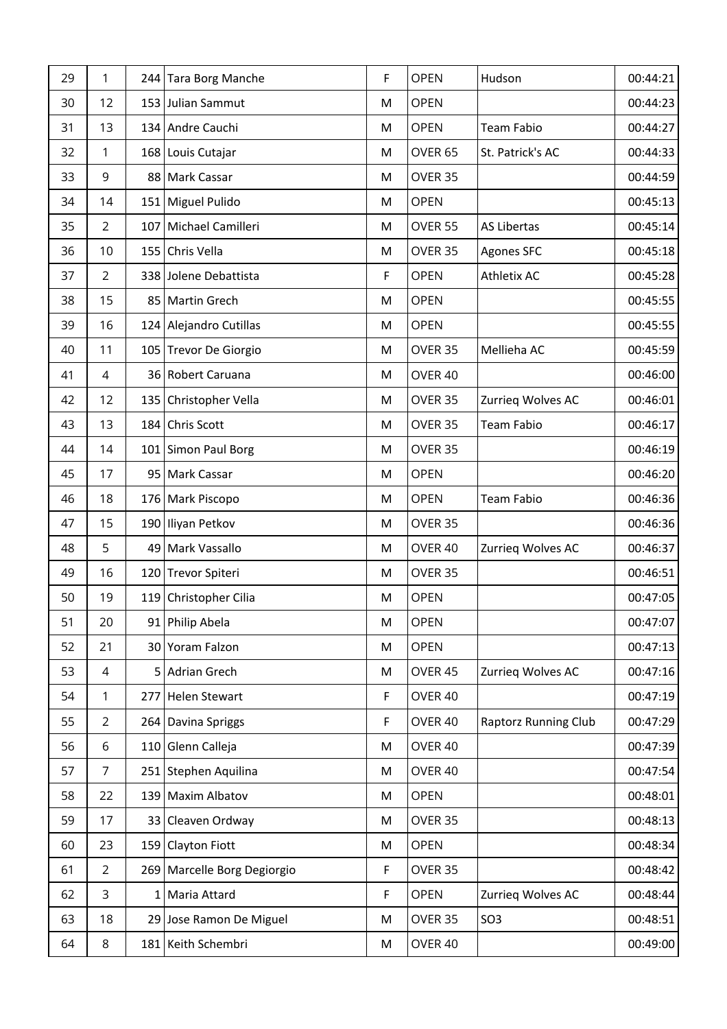| 29 | 1              | 244 Tara Borg Manche        | F  | <b>OPEN</b>        | Hudson                      | 00:44:21 |
|----|----------------|-----------------------------|----|--------------------|-----------------------------|----------|
| 30 | 12             | 153 Julian Sammut           | M  | <b>OPEN</b>        |                             | 00:44:23 |
| 31 | 13             | 134 Andre Cauchi            | M  | <b>OPEN</b>        | Team Fabio                  | 00:44:27 |
| 32 | 1              | 168 Louis Cutajar           | M  | OVER <sub>65</sub> | St. Patrick's AC            | 00:44:33 |
| 33 | 9              | 88 Mark Cassar              | M  | OVER 35            |                             | 00:44:59 |
| 34 | 14             | 151   Miguel Pulido         | M  | <b>OPEN</b>        |                             | 00:45:13 |
| 35 | $\overline{2}$ | 107 Michael Camilleri       | M  | OVER 55            | <b>AS Libertas</b>          | 00:45:14 |
| 36 | 10             | 155 Chris Vella             | M  | OVER 35            | Agones SFC                  | 00:45:18 |
| 37 | $\overline{2}$ | 338 Jolene Debattista       | F  | <b>OPEN</b>        | Athletix AC                 | 00:45:28 |
| 38 | 15             | 85   Martin Grech           | M  | <b>OPEN</b>        |                             | 00:45:55 |
| 39 | 16             | 124 Alejandro Cutillas      | M  | <b>OPEN</b>        |                             | 00:45:55 |
| 40 | 11             | 105 Trevor De Giorgio       | M  | OVER 35            | Mellieha AC                 | 00:45:59 |
| 41 | 4              | 36 Robert Caruana           | M  | OVER 40            |                             | 00:46:00 |
| 42 | 12             | 135 Christopher Vella       | M  | OVER 35            | Zurrieg Wolves AC           | 00:46:01 |
| 43 | 13             | 184 Chris Scott             | M  | OVER 35            | <b>Team Fabio</b>           | 00:46:17 |
| 44 | 14             | 101 Simon Paul Borg         | M  | OVER 35            |                             | 00:46:19 |
| 45 | 17             | 95   Mark Cassar            | M  | <b>OPEN</b>        |                             | 00:46:20 |
| 46 | 18             | 176 Mark Piscopo            | M  | <b>OPEN</b>        | <b>Team Fabio</b>           | 00:46:36 |
| 47 | 15             | 190 Iliyan Petkov           | M  | OVER 35            |                             | 00:46:36 |
| 48 | 5              | 49 Mark Vassallo            | M  | OVER 40            | Zurrieg Wolves AC           | 00:46:37 |
| 49 | 16             | 120 Trevor Spiteri          | M  | OVER 35            |                             | 00:46:51 |
| 50 | 19             | 119 Christopher Cilia       | M  | <b>OPEN</b>        |                             | 00:47:05 |
| 51 | 20             | 91 Philip Abela             | M  | <b>OPEN</b>        |                             | 00:47:07 |
| 52 | 21             | 30 Yoram Falzon             | M  | <b>OPEN</b>        |                             | 00:47:13 |
| 53 | 4              | 5 Adrian Grech              | M  | OVER 45            | Zurrieg Wolves AC           | 00:47:16 |
| 54 | $\mathbf{1}$   | 277 Helen Stewart           | F  | OVER 40            |                             | 00:47:19 |
| 55 | $\overline{2}$ | 264 Davina Spriggs          | F. | OVER 40            | <b>Raptorz Running Club</b> | 00:47:29 |
| 56 | 6              | 110 Glenn Calleja           | M  | OVER 40            |                             | 00:47:39 |
| 57 | 7              | 251 Stephen Aquilina        | M  | OVER 40            |                             | 00:47:54 |
| 58 | 22             | 139 Maxim Albatov           | M  | <b>OPEN</b>        |                             | 00:48:01 |
| 59 | 17             | 33 Cleaven Ordway           | M  | OVER 35            |                             | 00:48:13 |
| 60 | 23             | 159 Clayton Fiott           | M  | <b>OPEN</b>        |                             | 00:48:34 |
| 61 | $\overline{2}$ | 269 Marcelle Borg Degiorgio | F  | OVER 35            |                             | 00:48:42 |
| 62 | 3              | 1 Maria Attard              | F  | <b>OPEN</b>        | Zurrieg Wolves AC           | 00:48:44 |
| 63 | 18             | 29 Jose Ramon De Miguel     | M  | OVER 35            | <b>SO3</b>                  | 00:48:51 |
| 64 | 8              | 181 Keith Schembri          | M  | OVER 40            |                             | 00:49:00 |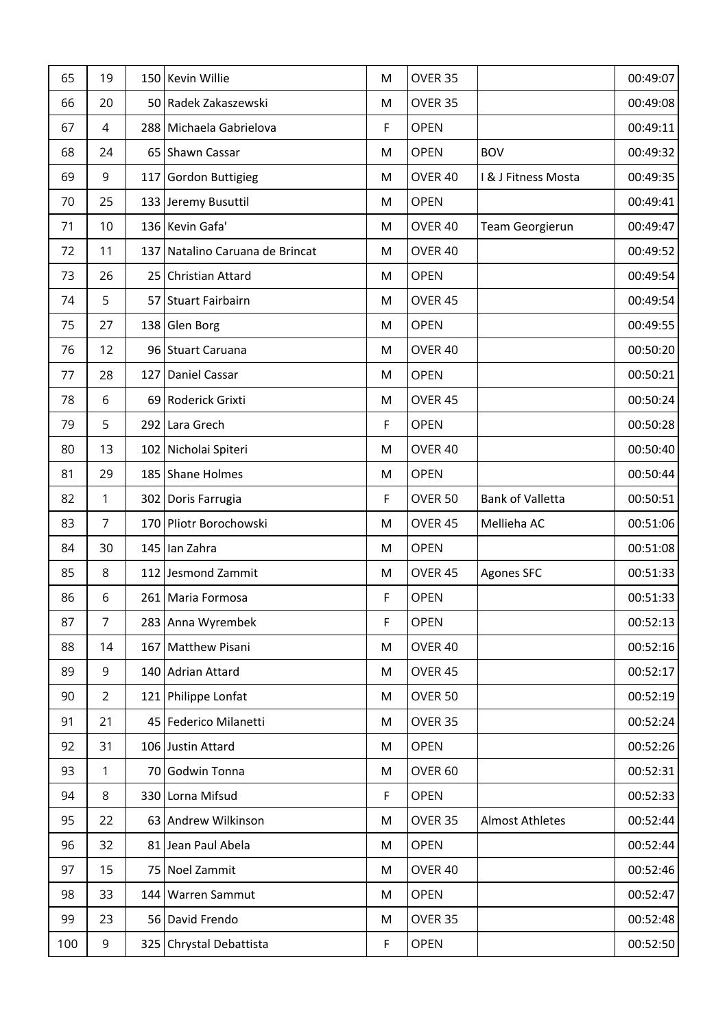| 65  | 19             | 150 Kevin Willie                | M | OVER 35            |                        | 00:49:07 |
|-----|----------------|---------------------------------|---|--------------------|------------------------|----------|
| 66  | 20             | 50 Radek Zakaszewski            | M | OVER 35            |                        | 00:49:08 |
| 67  | 4              | 288 Michaela Gabrielova         | F | <b>OPEN</b>        |                        | 00:49:11 |
| 68  | 24             | 65 Shawn Cassar                 | M | <b>OPEN</b>        | <b>BOV</b>             | 00:49:32 |
| 69  | 9              | 117 Gordon Buttigieg            | M | OVER 40            | I & J Fitness Mosta    | 00:49:35 |
| 70  | 25             | 133 Jeremy Busuttil             | M | <b>OPEN</b>        |                        | 00:49:41 |
| 71  | 10             | 136 Kevin Gafa'                 | M | OVER 40            | Team Georgierun        | 00:49:47 |
| 72  | 11             | 137 Natalino Caruana de Brincat | M | OVER 40            |                        | 00:49:52 |
| 73  | 26             | 25 Christian Attard             | M | <b>OPEN</b>        |                        | 00:49:54 |
| 74  | 5              | 57 Stuart Fairbairn             | M | OVER 45            |                        | 00:49:54 |
| 75  | 27             | 138 Glen Borg                   | M | <b>OPEN</b>        |                        | 00:49:55 |
| 76  | 12             | 96 Stuart Caruana               | M | OVER 40            |                        | 00:50:20 |
| 77  | 28             | 127 Daniel Cassar               | M | <b>OPEN</b>        |                        | 00:50:21 |
| 78  | 6              | 69 Roderick Grixti              | M | OVER <sub>45</sub> |                        | 00:50:24 |
| 79  | 5              | 292 Lara Grech                  | F | <b>OPEN</b>        |                        | 00:50:28 |
| 80  | 13             | 102   Nicholai Spiteri          | M | OVER 40            |                        | 00:50:40 |
| 81  | 29             | 185 Shane Holmes                | M | <b>OPEN</b>        |                        | 00:50:44 |
| 82  | 1              | 302 Doris Farrugia              | F | OVER 50            | Bank of Valletta       | 00:50:51 |
| 83  | $\overline{7}$ | 170 Pliotr Borochowski          | M | OVER 45            | Mellieha AC            | 00:51:06 |
| 84  | 30             | 145 lan Zahra                   | M | <b>OPEN</b>        |                        | 00:51:08 |
| 85  | 8              | 112 Jesmond Zammit              | M | OVER 45            | <b>Agones SFC</b>      | 00:51:33 |
| 86  | 6              | 261 Maria Formosa               | F | <b>OPEN</b>        |                        | 00:51:33 |
| 87  | $\overline{7}$ | 283 Anna Wyrembek               | F | <b>OPEN</b>        |                        | 00:52:13 |
| 88  | 14             | 167 Matthew Pisani              | M | OVER 40            |                        | 00:52:16 |
| 89  | 9              | 140 Adrian Attard               | M | OVER 45            |                        | 00:52:17 |
| 90  | $\overline{2}$ | 121 Philippe Lonfat             | M | OVER 50            |                        | 00:52:19 |
| 91  | 21             | 45   Federico Milanetti         | M | OVER 35            |                        | 00:52:24 |
| 92  | 31             | 106 Justin Attard               | M | <b>OPEN</b>        |                        | 00:52:26 |
| 93  | 1              | 70 Godwin Tonna                 | M | OVER <sub>60</sub> |                        | 00:52:31 |
| 94  | 8              | 330 Lorna Mifsud                | F | <b>OPEN</b>        |                        | 00:52:33 |
| 95  | 22             | 63 Andrew Wilkinson             | M | OVER 35            | <b>Almost Athletes</b> | 00:52:44 |
| 96  | 32             | 81 Jean Paul Abela              | M | <b>OPEN</b>        |                        | 00:52:44 |
| 97  | 15             | 75 Noel Zammit                  | M | OVER 40            |                        | 00:52:46 |
| 98  | 33             | 144 Warren Sammut               | M | <b>OPEN</b>        |                        | 00:52:47 |
| 99  | 23             | 56 David Frendo                 | M | OVER 35            |                        | 00:52:48 |
| 100 | 9              | 325 Chrystal Debattista         | F | <b>OPEN</b>        |                        | 00:52:50 |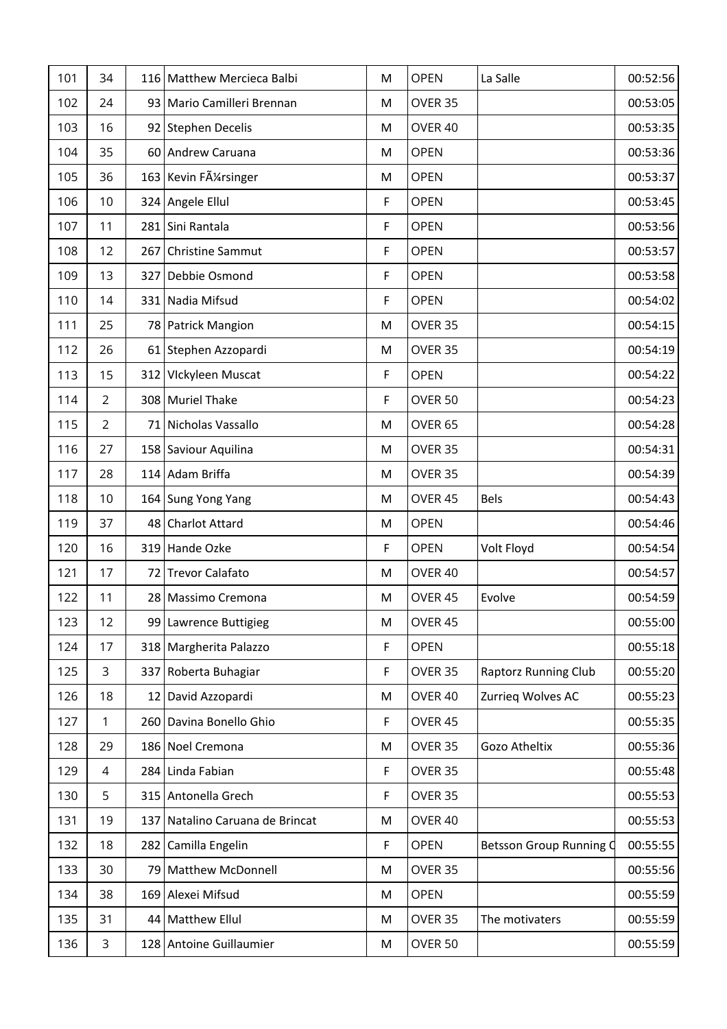| 101 | 34             | 116 Matthew Mercieca Balbi       | M | <b>OPEN</b> | La Salle                    | 00:52:56 |
|-----|----------------|----------------------------------|---|-------------|-----------------------------|----------|
| 102 | 24             | 93 Mario Camilleri Brennan       | M | OVER 35     |                             | 00:53:05 |
| 103 | 16             | 92 Stephen Decelis               | M | OVER 40     |                             | 00:53:35 |
| 104 | 35             | 60 Andrew Caruana                | M | <b>OPEN</b> |                             | 00:53:36 |
| 105 | 36             | 163 Kevin FA <sup>1</sup> singer | M | <b>OPEN</b> |                             | 00:53:37 |
| 106 | 10             | 324 Angele Ellul                 | F | <b>OPEN</b> |                             | 00:53:45 |
| 107 | 11             | 281 Sini Rantala                 | F | <b>OPEN</b> |                             | 00:53:56 |
| 108 | 12             | 267 Christine Sammut             | F | <b>OPEN</b> |                             | 00:53:57 |
| 109 | 13             | 327 Debbie Osmond                | F | <b>OPEN</b> |                             | 00:53:58 |
| 110 | 14             | 331 Nadia Mifsud                 | F | <b>OPEN</b> |                             | 00:54:02 |
| 111 | 25             | 78 Patrick Mangion               | M | OVER 35     |                             | 00:54:15 |
| 112 | 26             | 61 Stephen Azzopardi             | M | OVER 35     |                             | 00:54:19 |
| 113 | 15             | 312 Vickyleen Muscat             | F | <b>OPEN</b> |                             | 00:54:22 |
| 114 | $\overline{2}$ | 308 Muriel Thake                 | F | OVER 50     |                             | 00:54:23 |
| 115 | $\overline{2}$ | 71 Nicholas Vassallo             | M | OVER 65     |                             | 00:54:28 |
| 116 | 27             | 158 Saviour Aquilina             | M | OVER 35     |                             | 00:54:31 |
| 117 | 28             | 114 Adam Briffa                  | M | OVER 35     |                             | 00:54:39 |
| 118 | 10             | 164 Sung Yong Yang               | M | OVER 45     | Bels                        | 00:54:43 |
| 119 | 37             | 48 Charlot Attard                | M | <b>OPEN</b> |                             | 00:54:46 |
| 120 | 16             | 319 Hande Ozke                   | F | <b>OPEN</b> | Volt Floyd                  | 00:54:54 |
| 121 | 17             | 72 Trevor Calafato               | M | OVER 40     |                             | 00:54:57 |
| 122 | 11             | 28 Massimo Cremona               | M | OVER 45     | Evolve                      | 00:54:59 |
| 123 | 12             | 99 Lawrence Buttigieg            | M | OVER 45     |                             | 00:55:00 |
| 124 | 17             | 318 Margherita Palazzo           | F | <b>OPEN</b> |                             | 00:55:18 |
| 125 | 3              | 337 Roberta Buhagiar             | F | OVER 35     | <b>Raptorz Running Club</b> | 00:55:20 |
| 126 | 18             | 12 David Azzopardi               | M | OVER 40     | Zurrieg Wolves AC           | 00:55:23 |
| 127 | 1              | 260 Davina Bonello Ghio          | F | OVER 45     |                             | 00:55:35 |
| 128 | 29             | 186 Noel Cremona                 | M | OVER 35     | Gozo Atheltix               | 00:55:36 |
| 129 | 4              | 284 Linda Fabian                 | F | OVER 35     |                             | 00:55:48 |
| 130 | 5              | 315 Antonella Grech              | F | OVER 35     |                             | 00:55:53 |
| 131 | 19             | 137 Natalino Caruana de Brincat  | M | OVER 40     |                             | 00:55:53 |
| 132 | 18             | 282 Camilla Engelin              | F | <b>OPEN</b> | Betsson Group Running C     | 00:55:55 |
| 133 | 30             | 79 Matthew McDonnell             | M | OVER 35     |                             | 00:55:56 |
| 134 | 38             | 169 Alexei Mifsud                | M | <b>OPEN</b> |                             | 00:55:59 |
| 135 | 31             | 44   Matthew Ellul               | M | OVER 35     | The motivaters              | 00:55:59 |
| 136 | 3              | 128 Antoine Guillaumier          | M | OVER 50     |                             | 00:55:59 |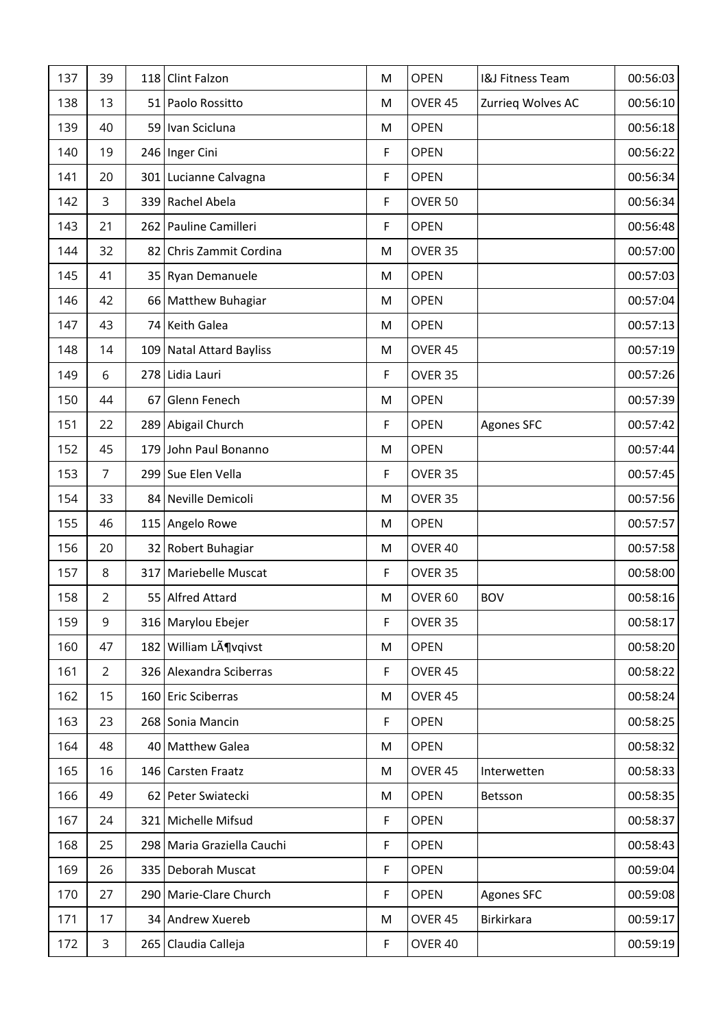| 137 | 39             |    | 118 Clint Falzon           | M  | <b>OPEN</b>        | <b>I&amp;J Fitness Team</b> | 00:56:03 |
|-----|----------------|----|----------------------------|----|--------------------|-----------------------------|----------|
| 138 | 13             |    | 51 Paolo Rossitto          | M  | OVER 45            | Zurrieg Wolves AC           | 00:56:10 |
| 139 | 40             |    | 59   Ivan Scicluna         | M  | <b>OPEN</b>        |                             | 00:56:18 |
| 140 | 19             |    | 246 Inger Cini             | F  | <b>OPEN</b>        |                             | 00:56:22 |
| 141 | 20             |    | 301 Lucianne Calvagna      | F  | <b>OPEN</b>        |                             | 00:56:34 |
| 142 | 3              |    | 339 Rachel Abela           | F  | OVER 50            |                             | 00:56:34 |
| 143 | 21             |    | 262 Pauline Camilleri      | F  | <b>OPEN</b>        |                             | 00:56:48 |
| 144 | 32             |    | 82 Chris Zammit Cordina    | M  | OVER 35            |                             | 00:57:00 |
| 145 | 41             |    | 35 Ryan Demanuele          | M  | <b>OPEN</b>        |                             | 00:57:03 |
| 146 | 42             |    | 66 Matthew Buhagiar        | M  | <b>OPEN</b>        |                             | 00:57:04 |
| 147 | 43             |    | 74 Keith Galea             | M  | <b>OPEN</b>        |                             | 00:57:13 |
| 148 | 14             |    | 109 Natal Attard Bayliss   | M  | OVER 45            |                             | 00:57:19 |
| 149 | 6              |    | 278 Lidia Lauri            | F  | OVER 35            |                             | 00:57:26 |
| 150 | 44             | 67 | Glenn Fenech               | M  | <b>OPEN</b>        |                             | 00:57:39 |
| 151 | 22             |    | 289 Abigail Church         | F  | <b>OPEN</b>        | <b>Agones SFC</b>           | 00:57:42 |
| 152 | 45             |    | 179 John Paul Bonanno      | M  | <b>OPEN</b>        |                             | 00:57:44 |
| 153 | $\overline{7}$ |    | 299 Sue Elen Vella         | F  | OVER 35            |                             | 00:57:45 |
| 154 | 33             |    | 84 Neville Demicoli        | M  | OVER 35            |                             | 00:57:56 |
| 155 | 46             |    | 115 Angelo Rowe            | M  | <b>OPEN</b>        |                             | 00:57:57 |
| 156 | 20             |    | 32 Robert Buhagiar         | M  | OVER 40            |                             | 00:57:58 |
| 157 | 8              |    | 317 Mariebelle Muscat      | F  | OVER 35            |                             | 00:58:00 |
| 158 | $\overline{2}$ |    | 55 Alfred Attard           | M  | OVER <sub>60</sub> | <b>BOV</b>                  | 00:58:16 |
| 159 | 9              |    | 316 Marylou Ebejer         | F  | OVER 35            |                             | 00:58:17 |
| 160 | 47             |    | 182 William Lövqivst       | M  | <b>OPEN</b>        |                             | 00:58:20 |
| 161 | $\overline{2}$ |    | 326 Alexandra Sciberras    | F  | OVER 45            |                             | 00:58:22 |
| 162 | 15             |    | 160 Eric Sciberras         | M  | OVER 45            |                             | 00:58:24 |
| 163 | 23             |    | 268 Sonia Mancin           | F. | <b>OPEN</b>        |                             | 00:58:25 |
| 164 | 48             |    | 40 Matthew Galea           | M  | <b>OPEN</b>        |                             | 00:58:32 |
| 165 | 16             |    | 146 Carsten Fraatz         | M  | OVER <sub>45</sub> | Interwetten                 | 00:58:33 |
| 166 | 49             |    | 62 Peter Swiatecki         | M  | <b>OPEN</b>        | Betsson                     | 00:58:35 |
| 167 | 24             |    | 321 Michelle Mifsud        | F  | <b>OPEN</b>        |                             | 00:58:37 |
| 168 | 25             |    | 298 Maria Graziella Cauchi | F  | <b>OPEN</b>        |                             | 00:58:43 |
| 169 | 26             |    | 335 Deborah Muscat         | F  | <b>OPEN</b>        |                             | 00:59:04 |
| 170 | 27             |    | 290 Marie-Clare Church     | F  | <b>OPEN</b>        | <b>Agones SFC</b>           | 00:59:08 |
| 171 | 17             |    | 34 Andrew Xuereb           | M  | OVER 45            | Birkirkara                  | 00:59:17 |
| 172 | 3              |    | 265 Claudia Calleja        | F  | OVER 40            |                             | 00:59:19 |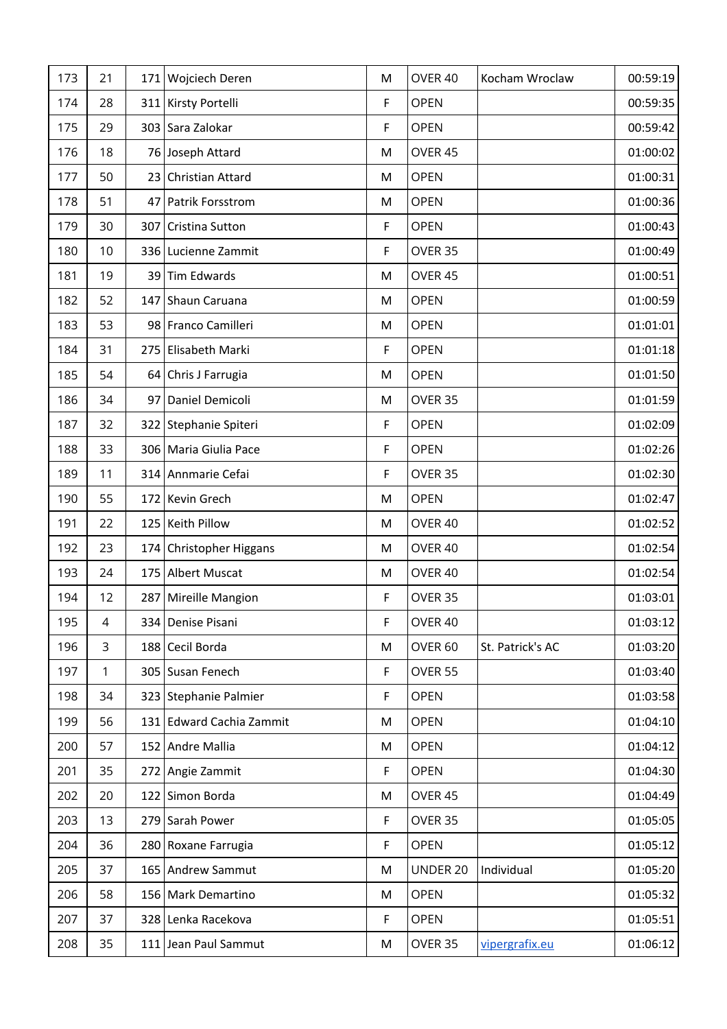| 173 | 21 | 171 Wojciech Deren       | M | OVER 40            | Kocham Wroclaw   | 00:59:19 |
|-----|----|--------------------------|---|--------------------|------------------|----------|
| 174 | 28 | 311 Kirsty Portelli      | F | <b>OPEN</b>        |                  | 00:59:35 |
| 175 | 29 | 303 Sara Zalokar         | F | <b>OPEN</b>        |                  | 00:59:42 |
| 176 | 18 | 76 Joseph Attard         | M | OVER 45            |                  | 01:00:02 |
| 177 | 50 | 23 Christian Attard      | M | <b>OPEN</b>        |                  | 01:00:31 |
| 178 | 51 | 47 Patrik Forsstrom      | M | <b>OPEN</b>        |                  | 01:00:36 |
| 179 | 30 | 307 Cristina Sutton      | F | <b>OPEN</b>        |                  | 01:00:43 |
| 180 | 10 | 336 Lucienne Zammit      | F | OVER 35            |                  | 01:00:49 |
| 181 | 19 | 39 Tim Edwards           | M | OVER 45            |                  | 01:00:51 |
| 182 | 52 | 147 Shaun Caruana        | M | <b>OPEN</b>        |                  | 01:00:59 |
| 183 | 53 | 98 Franco Camilleri      | M | <b>OPEN</b>        |                  | 01:01:01 |
| 184 | 31 | 275 Elisabeth Marki      | F | <b>OPEN</b>        |                  | 01:01:18 |
| 185 | 54 | 64 Chris J Farrugia      | M | <b>OPEN</b>        |                  | 01:01:50 |
| 186 | 34 | 97 Daniel Demicoli       | M | OVER 35            |                  | 01:01:59 |
| 187 | 32 | 322 Stephanie Spiteri    | F | <b>OPEN</b>        |                  | 01:02:09 |
| 188 | 33 | 306   Maria Giulia Pace  | F | <b>OPEN</b>        |                  | 01:02:26 |
| 189 | 11 | 314 Annmarie Cefai       | F | OVER 35            |                  | 01:02:30 |
| 190 | 55 | 172 Kevin Grech          | M | <b>OPEN</b>        |                  | 01:02:47 |
| 191 | 22 | 125 Keith Pillow         | M | OVER 40            |                  | 01:02:52 |
| 192 | 23 | 174 Christopher Higgans  | M | OVER 40            |                  | 01:02:54 |
| 193 | 24 | 175 Albert Muscat        | M | OVER 40            |                  | 01:02:54 |
| 194 | 12 | 287 Mireille Mangion     | F | OVER 35            |                  | 01:03:01 |
| 195 | 4  | 334   Denise Pisani      | F | OVER 40            |                  | 01:03:12 |
| 196 | 3  | 188 Cecil Borda          | M | OVER <sub>60</sub> | St. Patrick's AC | 01:03:20 |
| 197 | 1  | 305 Susan Fenech         | F | OVER 55            |                  | 01:03:40 |
| 198 | 34 | 323 Stephanie Palmier    | F | <b>OPEN</b>        |                  | 01:03:58 |
| 199 | 56 | 131 Edward Cachia Zammit | M | <b>OPEN</b>        |                  | 01:04:10 |
| 200 | 57 | 152 Andre Mallia         | M | <b>OPEN</b>        |                  | 01:04:12 |
| 201 | 35 | 272 Angie Zammit         | F | <b>OPEN</b>        |                  | 01:04:30 |
| 202 | 20 | 122 Simon Borda          | M | OVER 45            |                  | 01:04:49 |
| 203 | 13 | 279 Sarah Power          | F | OVER 35            |                  | 01:05:05 |
| 204 | 36 | 280 Roxane Farrugia      | F | <b>OPEN</b>        |                  | 01:05:12 |
| 205 | 37 | 165 Andrew Sammut        | M | UNDER 20           | Individual       | 01:05:20 |
| 206 | 58 | 156 Mark Demartino       | M | <b>OPEN</b>        |                  | 01:05:32 |
| 207 | 37 | 328 Lenka Racekova       | F | <b>OPEN</b>        |                  | 01:05:51 |
| 208 | 35 | 111 Jean Paul Sammut     | M | OVER 35            | vipergrafix.eu   | 01:06:12 |